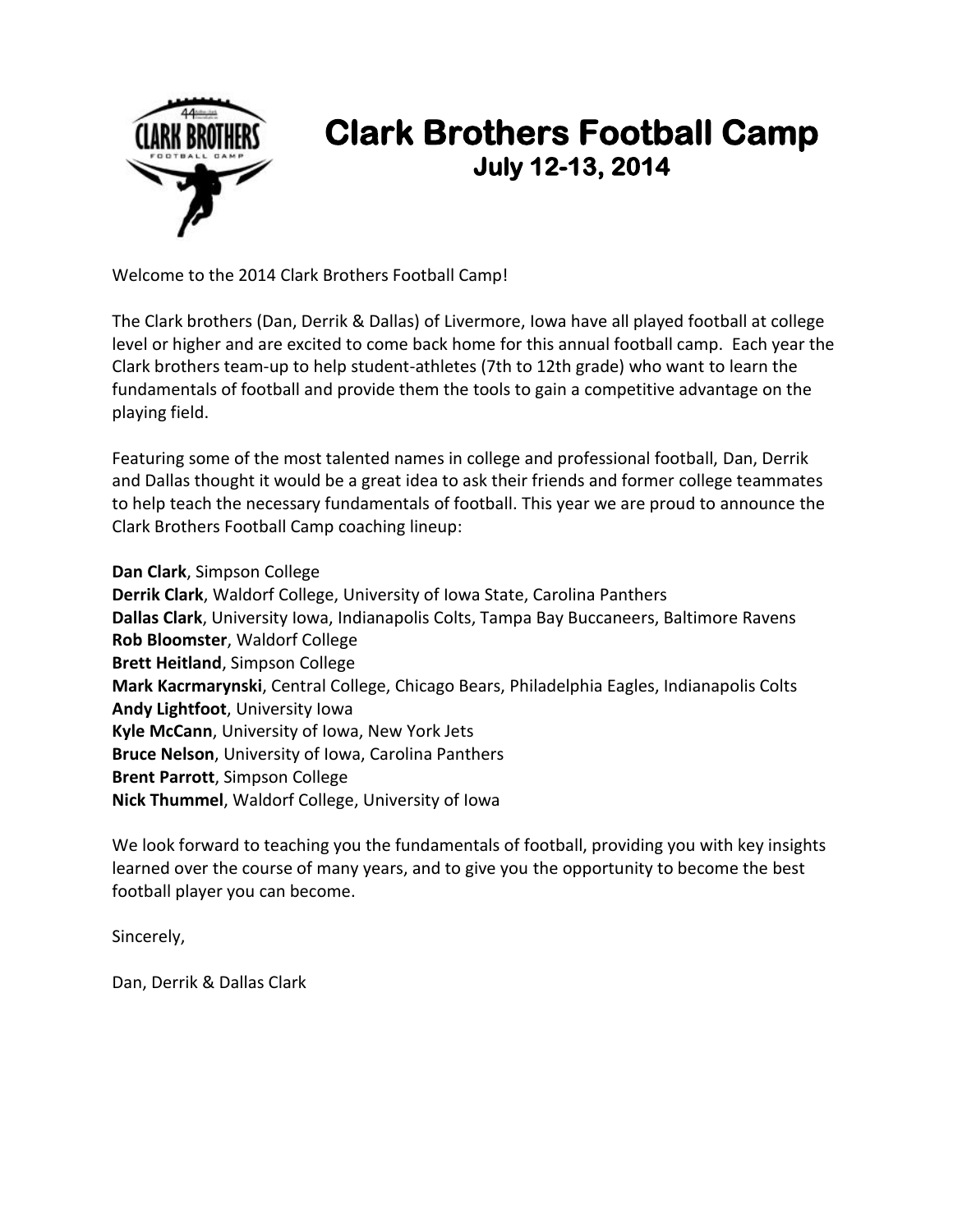

## **Clark Brothers Football Camp July 12-13, 2014**

Welcome to the 2014 Clark Brothers Football Camp!

The Clark brothers (Dan, Derrik & Dallas) of Livermore, Iowa have all played football at college level or higher and are excited to come back home for this annual football camp. Each year the Clark brothers team-up to help student-athletes (7th to 12th grade) who want to learn the fundamentals of football and provide them the tools to gain a competitive advantage on the playing field.

Featuring some of the most talented names in college and professional football, Dan, Derrik and Dallas thought it would be a great idea to ask their friends and former college teammates to help teach the necessary fundamentals of football. This year we are proud to announce the Clark Brothers Football Camp coaching lineup:

**Dan Clark**, Simpson College **Derrik Clark**, Waldorf College, University of Iowa State, Carolina Panthers **Dallas Clark**, University Iowa, Indianapolis Colts, Tampa Bay Buccaneers, Baltimore Ravens **Rob Bloomster**, Waldorf College **Brett Heitland**, Simpson College **Mark Kacrmarynski**, Central College, Chicago Bears, Philadelphia Eagles, Indianapolis Colts **Andy Lightfoot**, University Iowa **Kyle McCann**, University of Iowa, New York Jets **Bruce Nelson**, University of Iowa, Carolina Panthers **Brent Parrott**, Simpson College **Nick Thummel**, Waldorf College, University of Iowa

We look forward to teaching you the fundamentals of football, providing you with key insights learned over the course of many years, and to give you the opportunity to become the best football player you can become.

Sincerely,

Dan, Derrik & Dallas Clark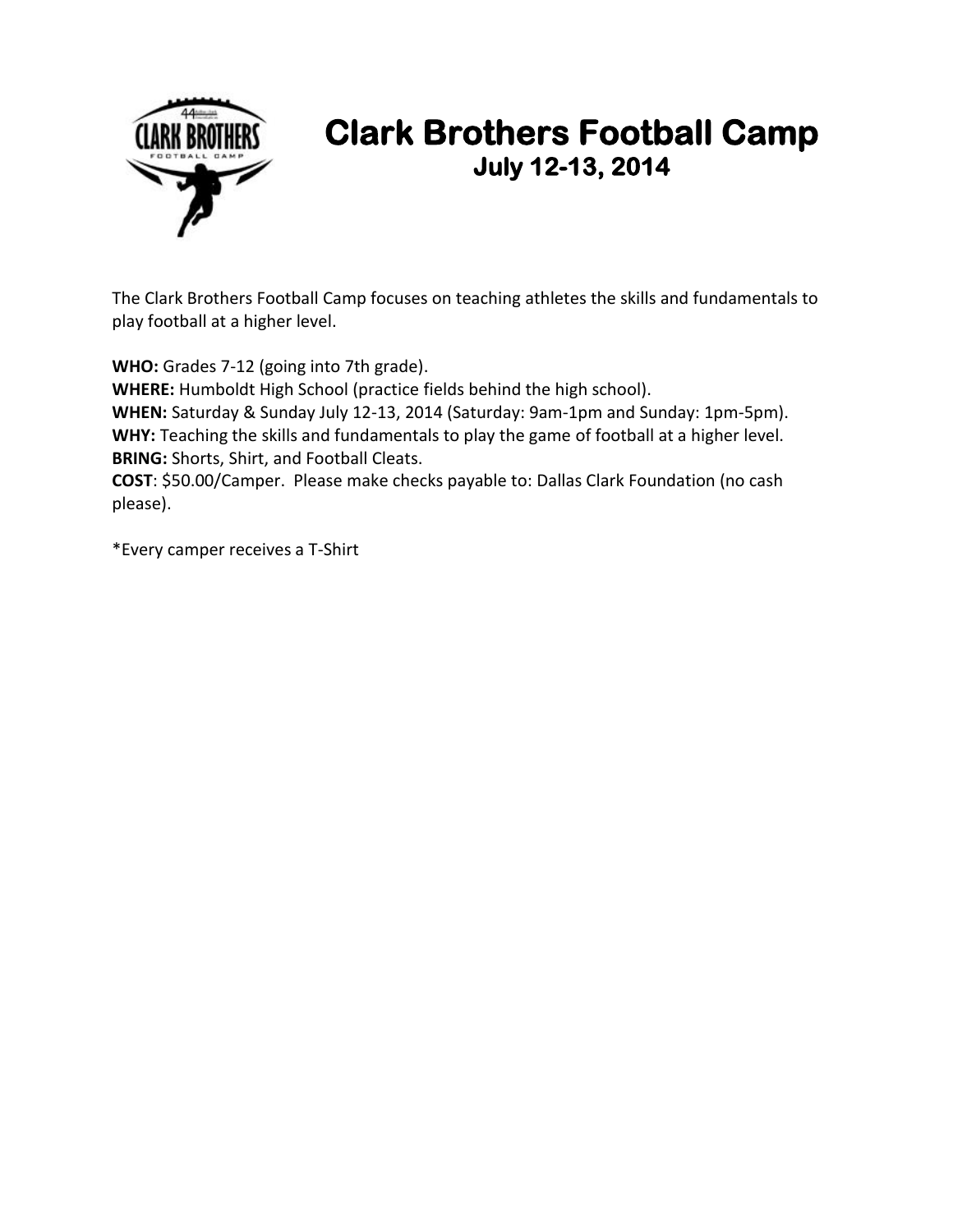

## **Clark Brothers Football Camp July 12-13, 2014**

The Clark Brothers Football Camp focuses on teaching athletes the skills and fundamentals to play football at a higher level.

**WHO:** Grades 7-12 (going into 7th grade).

**WHERE:** Humboldt High School (practice fields behind the high school).

**WHEN:** Saturday & Sunday July 12-13, 2014 (Saturday: 9am-1pm and Sunday: 1pm-5pm). **WHY:** Teaching the skills and fundamentals to play the game of football at a higher level. **BRING:** Shorts, Shirt, and Football Cleats.

**COST**: \$50.00/Camper. Please make checks payable to: Dallas Clark Foundation (no cash please).

\*Every camper receives a T-Shirt